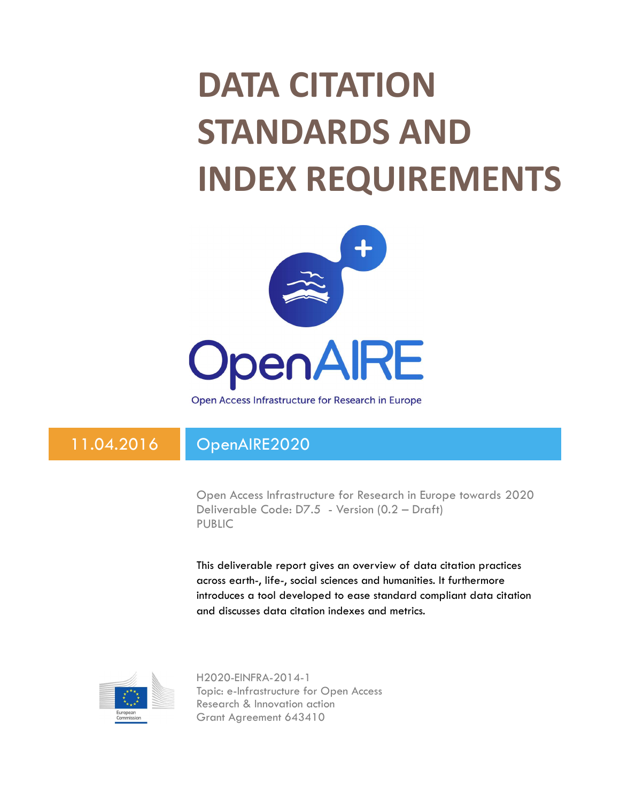## DATA CITATION STANDARDS AND INDEX REQUIREMENTS



Open Access Infrastructure for Research in Europe

## 11.04.2016 OpenAIRE2020

Open Access Infrastructure for Research in Europe towards 2020 Deliverable Code: D7.5 - Version (0.2 – Draft) PUBLIC

This deliverable report gives an overview of data citation practices across earth-, life-, social sciences and humanities. It furthermore introduces a tool developed to ease standard compliant data citation and discusses data citation indexes and metrics.



H2020-EINFRA-2014-1 Topic: e-Infrastructure for Open Access Research & Innovation action Grant Agreement 643410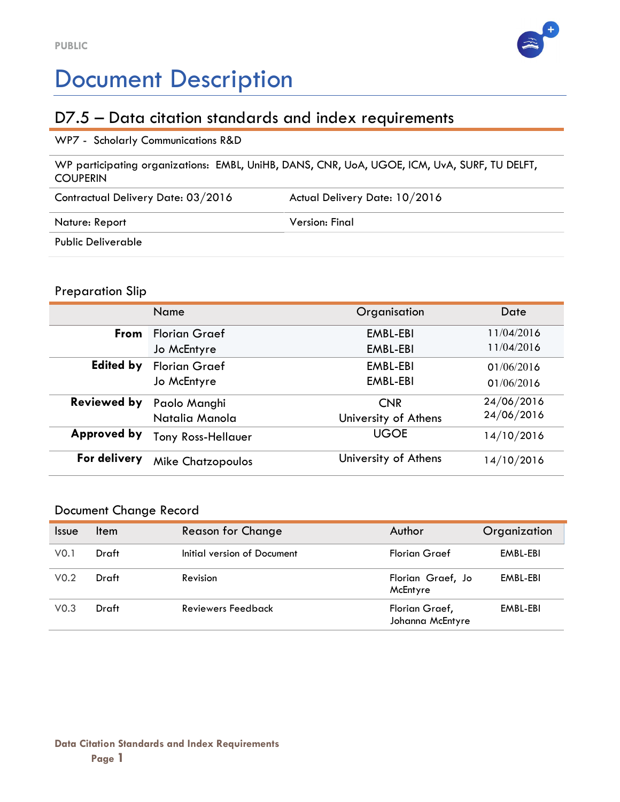

## Document Description

## D7.5 – Data citation standards and index requirements

#### WP7 - Scholarly Communications R&D

WP participating organizations: EMBL, UniHB, DANS, CNR, UoA, UGOE, ICM, UvA, SURF, TU DELFT, COUPERIN

| Contractual Delivery Date: 03/2016 | Actual Delivery Date: 10/2016 |  |
|------------------------------------|-------------------------------|--|
| Nature: Report                     | Version: Final                |  |
| Public Deliverable                 |                               |  |

#### Preparation Slip

|                    | Name                      | Organisation         | Date       |
|--------------------|---------------------------|----------------------|------------|
| <b>From</b>        | <b>Florian Graef</b>      | EMBL-EBI             | 11/04/2016 |
|                    | Jo McEntyre               | EMBL-EBI             | 11/04/2016 |
| <b>Edited by</b>   | <b>Florian Graef</b>      | EMBL-EBI             | 01/06/2016 |
|                    | Jo McEntyre               | EMBL-EBI             | 01/06/2016 |
| <b>Reviewed by</b> | Paolo Manghi              | <b>CNR</b>           | 24/06/2016 |
|                    | Natalia Manola            | University of Athens | 24/06/2016 |
| Approved by        | <b>Tony Ross-Hellauer</b> | <b>UGOE</b>          | 14/10/2016 |
| For delivery       | <b>Mike Chatzopoulos</b>  | University of Athens | 14/10/2016 |

#### Document Change Record

| <i><u><b>Issue</b></u></i> | <b>Item</b> | <b>Reason for Change</b>    | Author                             | Organization |
|----------------------------|-------------|-----------------------------|------------------------------------|--------------|
| V <sub>0.1</sub>           | Draft       | Initial version of Document | <b>Florian Graef</b>               | EMBL-EBI     |
| V <sub>0.2</sub>           | Draft       | Revision                    | Florian Graef, Jo<br>McEntyre      | EMBL-EBI     |
| V <sub>0.3</sub>           | Draft       | Reviewers Feedback          | Florian Graef,<br>Johanna McEntyre | EMBL-EBI     |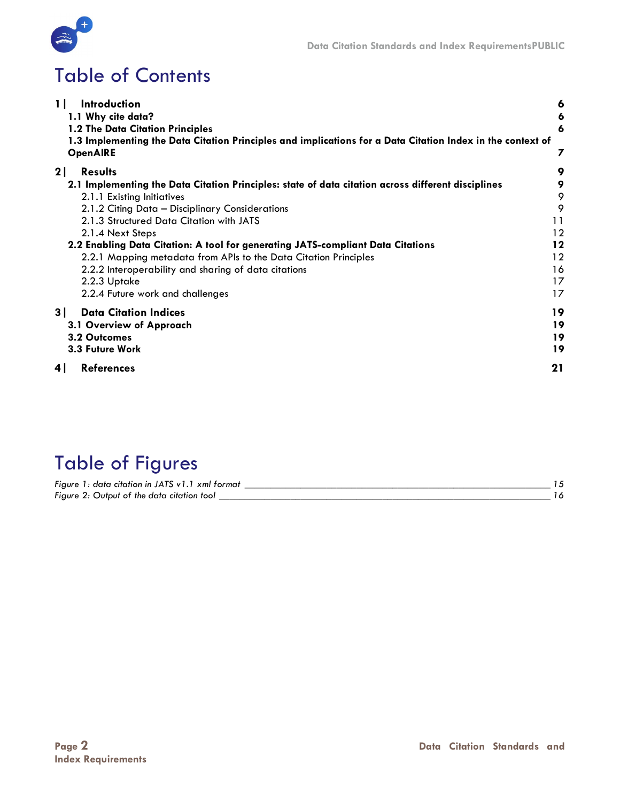

## Table of Contents

| 1 <sup>1</sup><br>Introduction                                                                             | 6       |
|------------------------------------------------------------------------------------------------------------|---------|
| 1.1 Why cite data?                                                                                         | 6       |
| 1.2 The Data Citation Principles                                                                           | 6       |
| 1.3 Implementing the Data Citation Principles and implications for a Data Citation Index in the context of |         |
| <b>OpenAIRE</b>                                                                                            |         |
| 2 <sub>1</sub><br><b>Results</b>                                                                           | 9       |
| 2.1 Implementing the Data Citation Principles: state of data citation across different disciplines         | 9       |
| 2.1.1 Existing Initiatives                                                                                 | 9       |
| 2.1.2 Citing Data - Disciplinary Considerations                                                            | 9       |
| 2.1.3 Structured Data Citation with JATS                                                                   | 11      |
| 2.1.4 Next Steps                                                                                           | 12      |
| 2.2 Enabling Data Citation: A tool for generating JATS-compliant Data Citations                            | $12 \,$ |
| 2.2.1 Mapping metadata from APIs to the Data Citation Principles                                           | 12      |
| 2.2.2 Interoperability and sharing of data citations                                                       | 16      |
| 2.2.3 Uptake                                                                                               | 17      |
| 2.2.4 Future work and challenges                                                                           | 17      |
| 3  <br><b>Data Citation Indices</b>                                                                        | 19      |
| 3.1 Overview of Approach                                                                                   | 19      |
| 3.2 Outcomes                                                                                               | 19      |
| 3.3 Future Work                                                                                            | 19      |
| 4<br><b>References</b>                                                                                     | 21      |

## Table of Figures

| Figure 1: data citation in JATS v1.1 xml format |  |
|-------------------------------------------------|--|
| Figure 2: Output of the data citation tool      |  |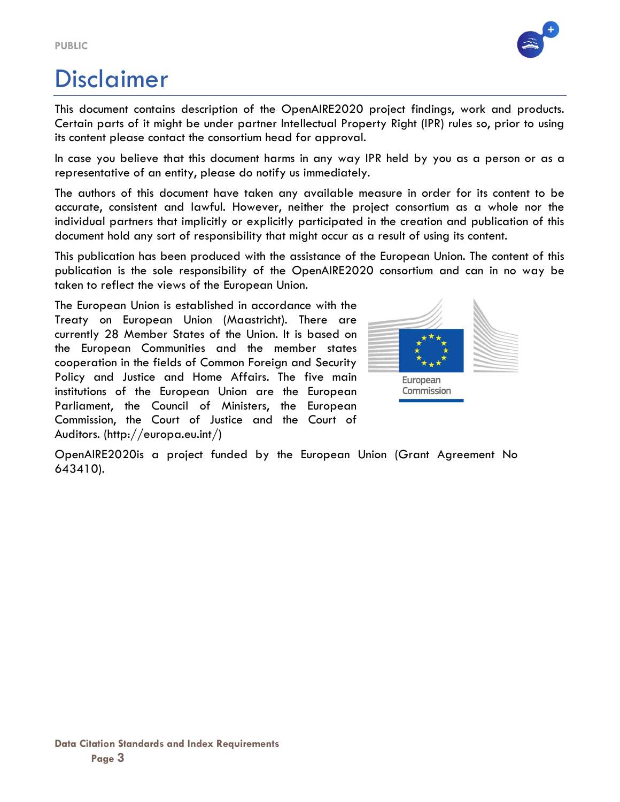

## Disclaimer

This document contains description of the OpenAIRE2020 project findings, work and products. Certain parts of it might be under partner Intellectual Property Right (IPR) rules so, prior to using its content please contact the consortium head for approval.

In case you believe that this document harms in any way IPR held by you as a person or as a representative of an entity, please do notify us immediately.

The authors of this document have taken any available measure in order for its content to be accurate, consistent and lawful. However, neither the project consortium as a whole nor the individual partners that implicitly or explicitly participated in the creation and publication of this document hold any sort of responsibility that might occur as a result of using its content.

This publication has been produced with the assistance of the European Union. The content of this publication is the sole responsibility of the OpenAIRE2020 consortium and can in no way be taken to reflect the views of the European Union.

The European Union is established in accordance with the Treaty on European Union (Maastricht). There are currently 28 Member States of the Union. It is based on the European Communities and the member states cooperation in the fields of Common Foreign and Security Policy and Justice and Home Affairs. The five main institutions of the European Union are the European Parliament, the Council of Ministers, the European Commission, the Court of Justice and the Court of Auditors. (http://europa.eu.int/)



OpenAIRE2020is a project funded by the European Union (Grant Agreement No 643410).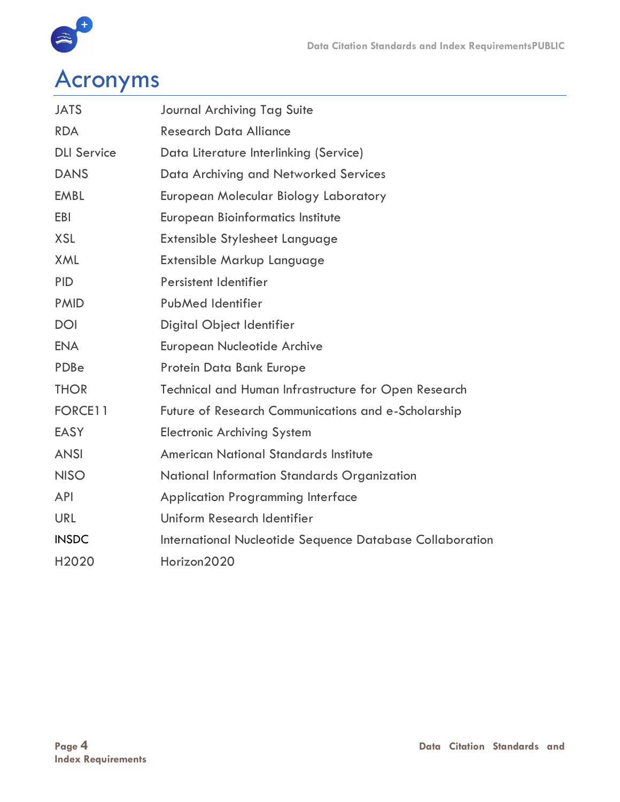

# a<br>Acronyms

| <b>JATS</b>        | <b>Journal Archiving Tag Suite</b>                          |
|--------------------|-------------------------------------------------------------|
| <b>RDA</b>         | <b>Research Data Alliance</b>                               |
| <b>DLI Service</b> | Data Literature Interlinking (Service)                      |
| <b>DANS</b>        | Data Archiving and Networked Services                       |
| <b>EMBL</b>        | European Molecular Biology Laboratory                       |
| <b>EBI</b>         | <b>European Bioinformatics Institute</b>                    |
| <b>XSL</b>         | Extensible Stylesheet Language                              |
| <b>XML</b>         | Extensible Markup Language                                  |
| <b>PID</b>         | Persistent Identifier                                       |
| <b>PMID</b>        | PubMed Identifier                                           |
| <b>DOI</b>         | Digital Object Identifier                                   |
| <b>ENA</b>         | <b>European Nucleotide Archive</b>                          |
| PDBe               | Protein Data Bank Europe                                    |
| <b>THOR</b>        | <b>Technical and Human Infrastructure for Open Research</b> |
| FORCE11            | Future of Research Communications and e-Scholarship         |
| <b>EASY</b>        | <b>Electronic Archiving System</b>                          |
| <b>ANSI</b>        | <b>American National Standards Institute</b>                |
| <b>NISO</b>        | National Information Standards Organization                 |
| <b>API</b>         | <b>Application Programming Interface</b>                    |
| <b>URL</b>         | Uniform Research Identifier                                 |
| <b>INSDC</b>       | International Nucleotide Sequence Database Collaboration    |
| H2020              | Horizon2020                                                 |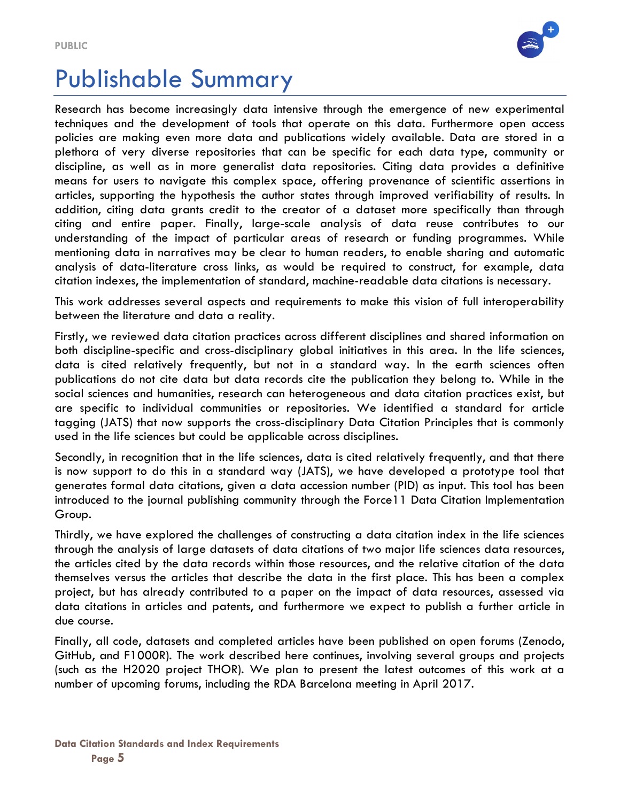

## Publishable Summary

Research has become increasingly data intensive through the emergence of new experimental techniques and the development of tools that operate on this data. Furthermore open access policies are making even more data and publications widely available. Data are stored in a plethora of very diverse repositories that can be specific for each data type, community or discipline, as well as in more generalist data repositories. Citing data provides a definitive means for users to navigate this complex space, offering provenance of scientific assertions in articles, supporting the hypothesis the author states through improved verifiability of results. In addition, citing data grants credit to the creator of a dataset more specifically than through citing and entire paper. Finally, large-scale analysis of data reuse contributes to our understanding of the impact of particular areas of research or funding programmes. While mentioning data in narratives may be clear to human readers, to enable sharing and automatic analysis of data-literature cross links, as would be required to construct, for example, data citation indexes, the implementation of standard, machine-readable data citations is necessary.

This work addresses several aspects and requirements to make this vision of full interoperability between the literature and data a reality.

Firstly, we reviewed data citation practices across different disciplines and shared information on both discipline-specific and cross-disciplinary global initiatives in this area. In the life sciences, data is cited relatively frequently, but not in a standard way. In the earth sciences often publications do not cite data but data records cite the publication they belong to. While in the social sciences and humanities, research can heterogeneous and data citation practices exist, but are specific to individual communities or repositories. We identified a standard for article tagging (JATS) that now supports the cross-disciplinary Data Citation Principles that is commonly used in the life sciences but could be applicable across disciplines.

Secondly, in recognition that in the life sciences, data is cited relatively frequently, and that there is now support to do this in a standard way (JATS), we have developed a prototype tool that generates formal data citations, given a data accession number (PID) as input. This tool has been introduced to the journal publishing community through the Force11 Data Citation Implementation Group.

Thirdly, we have explored the challenges of constructing a data citation index in the life sciences through the analysis of large datasets of data citations of two major life sciences data resources, the articles cited by the data records within those resources, and the relative citation of the data themselves versus the articles that describe the data in the first place. This has been a complex project, but has already contributed to a paper on the impact of data resources, assessed via data citations in articles and patents, and furthermore we expect to publish a further article in due course.

Finally, all code, datasets and completed articles have been published on open forums (Zenodo, GitHub, and F1000R). The work described here continues, involving several groups and projects (such as the H2020 project THOR). We plan to present the latest outcomes of this work at a number of upcoming forums, including the RDA Barcelona meeting in April 2017.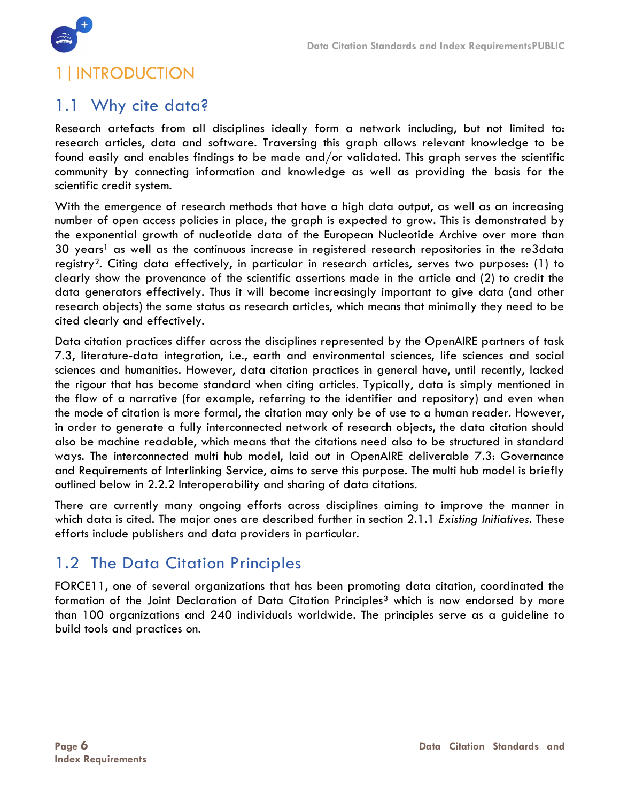

## 1|INTRODUCTION

### 1.1 Why cite data?

Research artefacts from all disciplines ideally form a network including, but not limited to: research articles, data and software. Traversing this graph allows relevant knowledge to be found easily and enables findings to be made and/or validated. This graph serves the scientific community by connecting information and knowledge as well as providing the basis for the scientific credit system.

With the emergence of research methods that have a high data output, as well as an increasing number of open access policies in place, the graph is expected to grow. This is demonstrated by the exponential growth of nucleotide data of the European Nucleotide Archive over more than 30 years<sup>1</sup> as well as the continuous increase in registered research repositories in the re3data registry2. Citing data effectively, in particular in research articles, serves two purposes: (1) to clearly show the provenance of the scientific assertions made in the article and (2) to credit the data generators effectively. Thus it will become increasingly important to give data (and other research objects) the same status as research articles, which means that minimally they need to be cited clearly and effectively.

Data citation practices differ across the disciplines represented by the OpenAIRE partners of task 7.3, literature-data integration, i.e., earth and environmental sciences, life sciences and social sciences and humanities. However, data citation practices in general have, until recently, lacked the rigour that has become standard when citing articles. Typically, data is simply mentioned in the flow of a narrative (for example, referring to the identifier and repository) and even when the mode of citation is more formal, the citation may only be of use to a human reader. However, in order to generate a fully interconnected network of research objects, the data citation should also be machine readable, which means that the citations need also to be structured in standard ways. The interconnected multi hub model, laid out in OpenAIRE deliverable 7.3: Governance and Requirements of Interlinking Service, aims to serve this purpose. The multi hub model is briefly outlined below in 2.2.2 Interoperability and sharing of data citations.

There are currently many ongoing efforts across disciplines aiming to improve the manner in which data is cited. The major ones are described further in section 2.1.1 Existing Initiatives. These efforts include publishers and data providers in particular.

## 1.2 The Data Citation Principles

FORCE11, one of several organizations that has been promoting data citation, coordinated the formation of the Joint Declaration of Data Citation Principles<sup>3</sup> which is now endorsed by more than 100 organizations and 240 individuals worldwide. The principles serve as a guideline to build tools and practices on.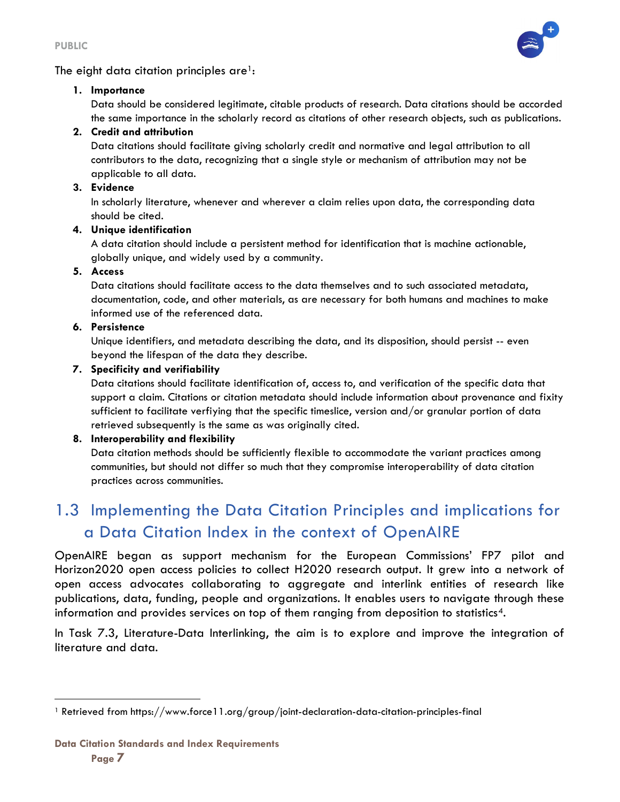PUBLIC



#### The eight data citation principles are<sup>1</sup>:

#### 1. Importance

Data should be considered legitimate, citable products of research. Data citations should be accorded the same importance in the scholarly record as citations of other research objects, such as publications.

#### 2. Credit and attribution

Data citations should facilitate giving scholarly credit and normative and legal attribution to all contributors to the data, recognizing that a single style or mechanism of attribution may not be applicable to all data.

#### 3. Evidence

In scholarly literature, whenever and wherever a claim relies upon data, the corresponding data should be cited.

#### 4. Unique identification

A data citation should include a persistent method for identification that is machine actionable, globally unique, and widely used by a community.

#### 5. Access

Data citations should facilitate access to the data themselves and to such associated metadata, documentation, code, and other materials, as are necessary for both humans and machines to make informed use of the referenced data.

#### 6. Persistence

Unique identifiers, and metadata describing the data, and its disposition, should persist -- even beyond the lifespan of the data they describe.

#### 7. Specificity and verifiability

Data citations should facilitate identification of, access to, and verification of the specific data that support a claim. Citations or citation metadata should include information about provenance and fixity sufficient to facilitate verfiying that the specific timeslice, version and/or granular portion of data retrieved subsequently is the same as was originally cited.

#### 8. Interoperability and flexibility

Data citation methods should be sufficiently flexible to accommodate the variant practices among communities, but should not differ so much that they compromise interoperability of data citation practices across communities.

## 1.3 Implementing the Data Citation Principles and implications for a Data Citation Index in the context of OpenAIRE

OpenAIRE began as support mechanism for the European Commissions' FP7 pilot and Horizon2020 open access policies to collect H2020 research output. It grew into a network of open access advocates collaborating to aggregate and interlink entities of research like publications, data, funding, people and organizations. It enables users to navigate through these information and provides services on top of them ranging from deposition to statistics4.

In Task 7.3, Literature-Data Interlinking, the aim is to explore and improve the integration of literature and data.

 $\overline{a}$ 1 Retrieved from https://www.force11.org/group/joint-declaration-data-citation-principles-final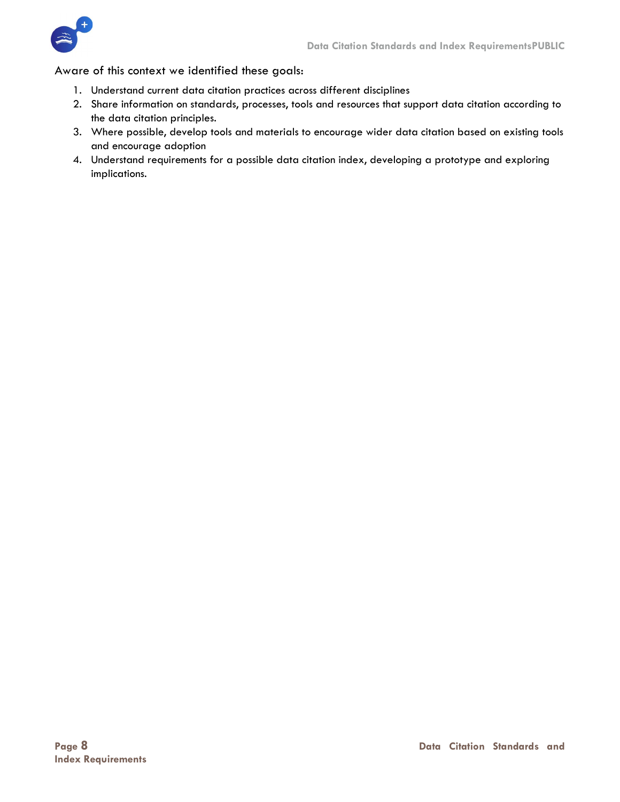

Aware of this context we identified these goals:

- 1. Understand current data citation practices across different disciplines
- 2. Share information on standards, processes, tools and resources that support data citation according to the data citation principles.
- 3. Where possible, develop tools and materials to encourage wider data citation based on existing tools and encourage adoption
- 4. Understand requirements for a possible data citation index, developing a prototype and exploring implications.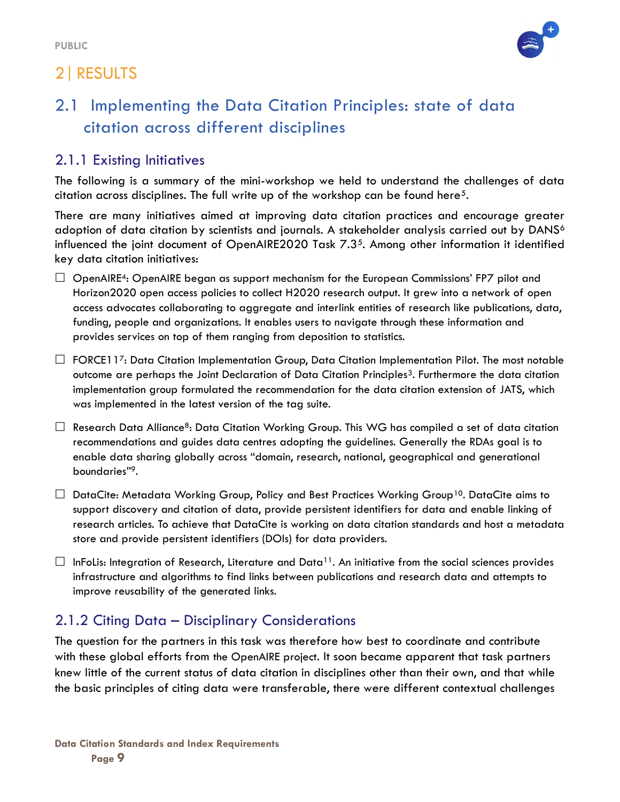## 2|RESULTS



## 2.1 Implementing the Data Citation Principles: state of data citation across different disciplines

#### 2.1.1 Existing Initiatives

The following is a summary of the mini-workshop we held to understand the challenges of data citation across disciplines. The full write up of the workshop can be found here<sup>5</sup>.

There are many initiatives aimed at improving data citation practices and encourage greater adoption of data citation by scientists and journals. A stakeholder analysis carried out by DANS<sup>6</sup> influenced the joint document of OpenAIRE2020 Task 7.35. Among other information it identified key data citation initiatives:

- $\Box$  OpenAIRE<sup>4</sup>: OpenAIRE began as support mechanism for the European Commissions' FP7 pilot and Horizon2020 open access policies to collect H2020 research output. It grew into a network of open access advocates collaborating to aggregate and interlink entities of research like publications, data, funding, people and organizations. It enables users to navigate through these information and provides services on top of them ranging from deposition to statistics.
- $\Box$  FORCE117: Data Citation Implementation Group, Data Citation Implementation Pilot. The most notable outcome are perhaps the Joint Declaration of Data Citation Principles3. Furthermore the data citation implementation group formulated the recommendation for the data citation extension of JATS, which was implemented in the latest version of the tag suite.
- $\Box$  Research Data Alliance<sup>8</sup>: Data Citation Working Group. This WG has compiled a set of data citation recommendations and guides data centres adopting the guidelines. Generally the RDAs goal is to enable data sharing globally across "domain, research, national, geographical and generational boundaries"9.
- $\Box$  DataCite: Metadata Working Group, Policy and Best Practices Working Group<sup>10</sup>. DataCite aims to support discovery and citation of data, provide persistent identifiers for data and enable linking of research articles. To achieve that DataCite is working on data citation standards and host a metadata store and provide persistent identifiers (DOIs) for data providers.
- $\Box$  InFoLis: Integration of Research, Literature and Data<sup>11</sup>. An initiative from the social sciences provides infrastructure and algorithms to find links between publications and research data and attempts to improve reusability of the generated links.

#### 2.1.2 Citing Data – Disciplinary Considerations

The question for the partners in this task was therefore how best to coordinate and contribute with these global efforts from the OpenAIRE project. It soon became apparent that task partners knew little of the current status of data citation in disciplines other than their own, and that while the basic principles of citing data were transferable, there were different contextual challenges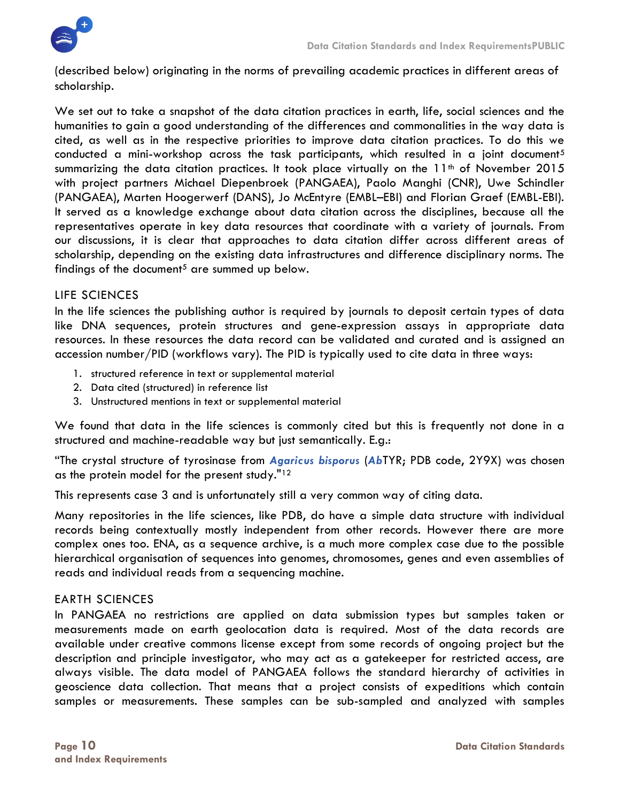

(described below) originating in the norms of prevailing academic practices in different areas of scholarship.

We set out to take a snapshot of the data citation practices in earth, life, social sciences and the humanities to gain a good understanding of the differences and commonalities in the way data is cited, as well as in the respective priorities to improve data citation practices. To do this we conducted a mini-workshop across the task participants, which resulted in a joint document<sup>5</sup> summarizing the data citation practices. It took place virtually on the  $11<sup>th</sup>$  of November 2015 with project partners Michael Diepenbroek (PANGAEA), Paolo Manghi (CNR), Uwe Schindler (PANGAEA), Marten Hoogerwerf (DANS), Jo McEntyre (EMBL–EBI) and Florian Graef (EMBL-EBI). It served as a knowledge exchange about data citation across the disciplines, because all the representatives operate in key data resources that coordinate with a variety of journals. From our discussions, it is clear that approaches to data citation differ across different areas of scholarship, depending on the existing data infrastructures and difference disciplinary norms. The findings of the document<sup>5</sup> are summed up below.

#### LIFE SCIENCES

In the life sciences the publishing author is required by journals to deposit certain types of data like DNA sequences, protein structures and gene-expression assays in appropriate data resources. In these resources the data record can be validated and curated and is assigned an accession number/PID (workflows vary). The PID is typically used to cite data in three ways:

- 1. structured reference in text or supplemental material
- 2. Data cited (structured) in reference list
- 3. Unstructured mentions in text or supplemental material

We found that data in the life sciences is commonly cited but this is frequently not done in a structured and machine-readable way but just semantically. E.g.:

"The crystal structure of tyrosinase from Agaricus bisporus (AbTYR; PDB code, 2Y9X) was chosen as the protein model for the present study."<sup>12</sup>

This represents case 3 and is unfortunately still a very common way of citing data.

Many repositories in the life sciences, like PDB, do have a simple data structure with individual records being contextually mostly independent from other records. However there are more complex ones too. ENA, as a sequence archive, is a much more complex case due to the possible hierarchical organisation of sequences into genomes, chromosomes, genes and even assemblies of reads and individual reads from a sequencing machine.

#### EARTH SCIENCES

In PANGAEA no restrictions are applied on data submission types but samples taken or measurements made on earth geolocation data is required. Most of the data records are available under creative commons license except from some records of ongoing project but the description and principle investigator, who may act as a gatekeeper for restricted access, are always visible. The data model of PANGAEA follows the standard hierarchy of activities in geoscience data collection. That means that a project consists of expeditions which contain samples or measurements. These samples can be sub-sampled and analyzed with samples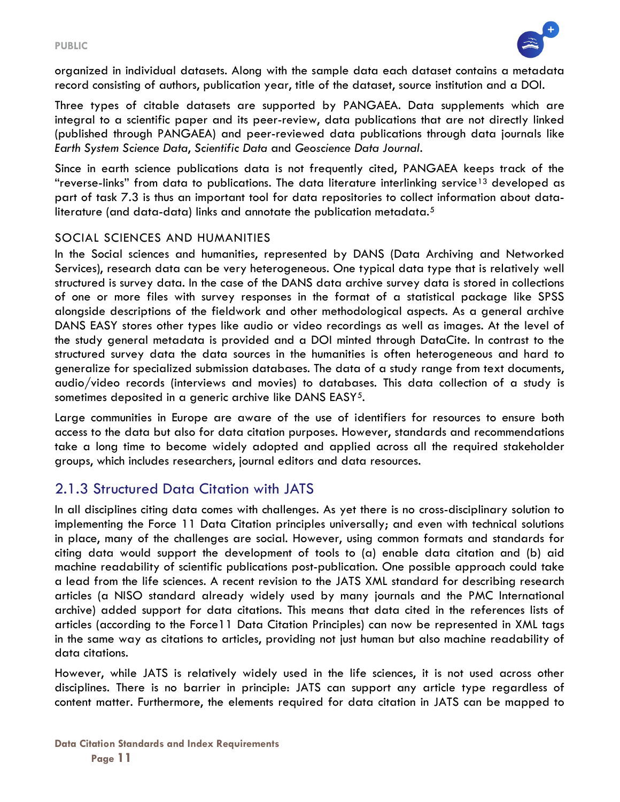

organized in individual datasets. Along with the sample data each dataset contains a metadata record consisting of authors, publication year, title of the dataset, source institution and a DOI.

Three types of citable datasets are supported by PANGAEA. Data supplements which are integral to a scientific paper and its peer-review, data publications that are not directly linked (published through PANGAEA) and peer-reviewed data publications through data journals like Earth System Science Data, Scientific Data and Geoscience Data Journal.

Since in earth science publications data is not frequently cited, PANGAEA keeps track of the "reverse-links" from data to publications. The data literature interlinking service<sup>13</sup> developed as part of task 7.3 is thus an important tool for data repositories to collect information about dataliterature (and data-data) links and annotate the publication metadata.<sup>5</sup>

#### SOCIAL SCIENCES AND HUMANITIES

In the Social sciences and humanities, represented by DANS (Data Archiving and Networked Services), research data can be very heterogeneous. One typical data type that is relatively well structured is survey data. In the case of the DANS data archive survey data is stored in collections of one or more files with survey responses in the format of a statistical package like SPSS alongside descriptions of the fieldwork and other methodological aspects. As a general archive DANS EASY stores other types like audio or video recordings as well as images. At the level of the study general metadata is provided and a DOI minted through DataCite. In contrast to the structured survey data the data sources in the humanities is often heterogeneous and hard to generalize for specialized submission databases. The data of a study range from text documents, audio/video records (interviews and movies) to databases. This data collection of a study is sometimes deposited in a generic archive like DANS EASY<sup>5</sup>.

Large communities in Europe are aware of the use of identifiers for resources to ensure both access to the data but also for data citation purposes. However, standards and recommendations take a long time to become widely adopted and applied across all the required stakeholder groups, which includes researchers, journal editors and data resources.

#### 2.1.3 Structured Data Citation with JATS

In all disciplines citing data comes with challenges. As yet there is no cross-disciplinary solution to implementing the Force 11 Data Citation principles universally; and even with technical solutions in place, many of the challenges are social. However, using common formats and standards for citing data would support the development of tools to (a) enable data citation and (b) aid machine readability of scientific publications post-publication. One possible approach could take a lead from the life sciences. A recent revision to the JATS XML standard for describing research articles (a NISO standard already widely used by many journals and the PMC International archive) added support for data citations. This means that data cited in the references lists of articles (according to the Force11 Data Citation Principles) can now be represented in XML tags in the same way as citations to articles, providing not just human but also machine readability of data citations.

However, while JATS is relatively widely used in the life sciences, it is not used across other disciplines. There is no barrier in principle: JATS can support any article type regardless of content matter. Furthermore, the elements required for data citation in JATS can be mapped to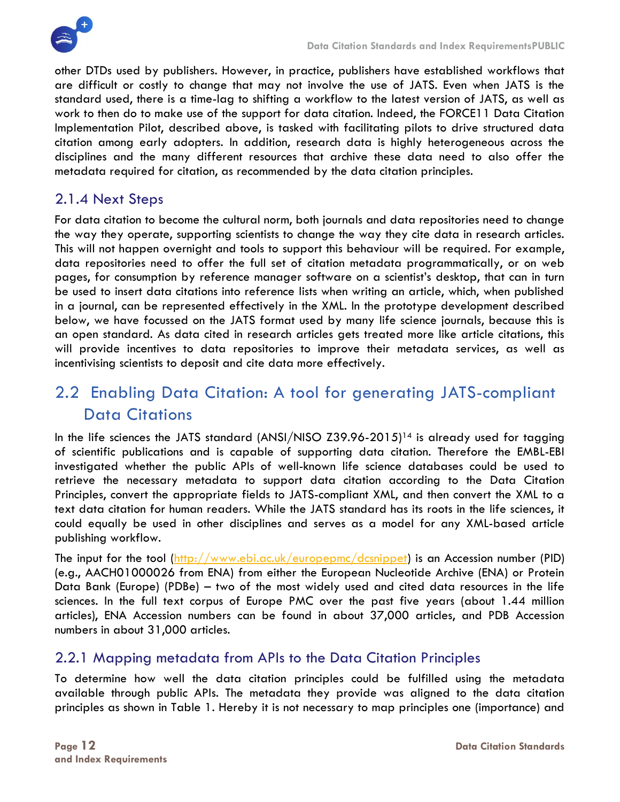

other DTDs used by publishers. However, in practice, publishers have established workflows that are difficult or costly to change that may not involve the use of JATS. Even when JATS is the standard used, there is a time-lag to shifting a workflow to the latest version of JATS, as well as work to then do to make use of the support for data citation. Indeed, the FORCE11 Data Citation Implementation Pilot, described above, is tasked with facilitating pilots to drive structured data citation among early adopters. In addition, research data is highly heterogeneous across the disciplines and the many different resources that archive these data need to also offer the metadata required for citation, as recommended by the data citation principles.

#### 2.1.4 Next Steps

For data citation to become the cultural norm, both journals and data repositories need to change the way they operate, supporting scientists to change the way they cite data in research articles. This will not happen overnight and tools to support this behaviour will be required. For example, data repositories need to offer the full set of citation metadata programmatically, or on web pages, for consumption by reference manager software on a scientist's desktop, that can in turn be used to insert data citations into reference lists when writing an article, which, when published in a journal, can be represented effectively in the XML. In the prototype development described below, we have focussed on the JATS format used by many life science journals, because this is an open standard. As data cited in research articles gets treated more like article citations, this will provide incentives to data repositories to improve their metadata services, as well as incentivising scientists to deposit and cite data more effectively.

## 2.2 Enabling Data Citation: A tool for generating JATS-compliant Data Citations

In the life sciences the JATS standard (ANSI/NISO  $Z39.96-2015$ )<sup>14</sup> is already used for tagging of scientific publications and is capable of supporting data citation. Therefore the EMBL-EBI investigated whether the public APIs of well-known life science databases could be used to retrieve the necessary metadata to support data citation according to the Data Citation Principles, convert the appropriate fields to JATS-compliant XML, and then convert the XML to a text data citation for human readers. While the JATS standard has its roots in the life sciences, it could equally be used in other disciplines and serves as a model for any XML-based article publishing workflow.

The input for the tool (http://www.ebi.ac.uk/europepmc/dcsnippet) is an Accession number (PID) (e.g., AACH01000026 from ENA) from either the European Nucleotide Archive (ENA) or Protein Data Bank (Europe) (PDBe) – two of the most widely used and cited data resources in the life sciences. In the full text corpus of Europe PMC over the past five years (about 1.44 million articles), ENA Accession numbers can be found in about 37,000 articles, and PDB Accession numbers in about 31,000 articles.

#### 2.2.1 Mapping metadata from APIs to the Data Citation Principles

To determine how well the data citation principles could be fulfilled using the metadata available through public APIs. The metadata they provide was aligned to the data citation principles as shown in Table 1. Hereby it is not necessary to map principles one (importance) and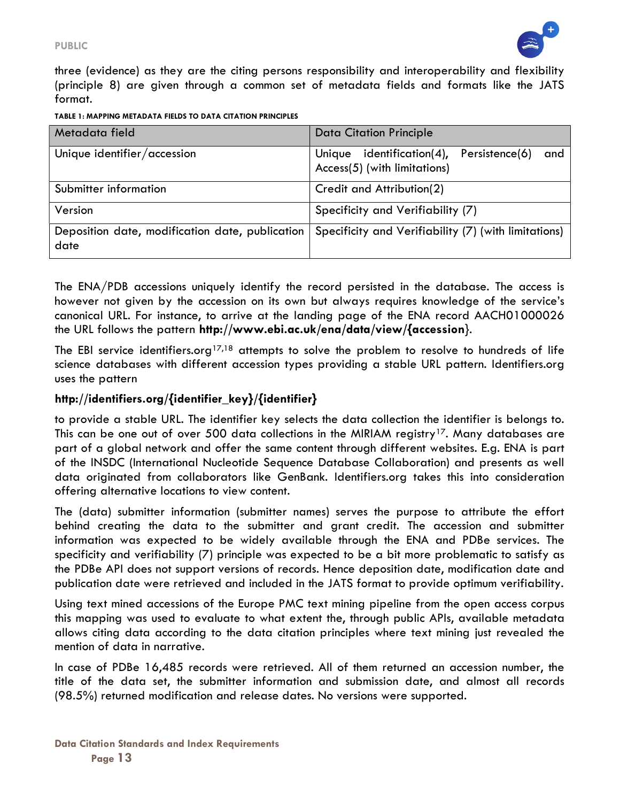

three (evidence) as they are the citing persons responsibility and interoperability and flexibility (principle 8) are given through a common set of metadata fields and formats like the JATS format.

| TABLE 1: MAPPING METADATA FIELDS TO DATA CITATION PRINCIPLES |  |  |  |
|--------------------------------------------------------------|--|--|--|
|                                                              |  |  |  |

| Metadata field                                          | <b>Data Citation Principle</b>                                                         |
|---------------------------------------------------------|----------------------------------------------------------------------------------------|
| Unique identifier/accession                             | Unique identification $(4)$ ,<br>Persistence(6)<br>and<br>Access(5) (with limitations) |
| Submitter information                                   | Credit and Attribution(2)                                                              |
| Version                                                 | Specificity and Verifiability (7)                                                      |
| Deposition date, modification date, publication<br>date | Specificity and Verifiability (7) (with limitations)                                   |

The ENA/PDB accessions uniquely identify the record persisted in the database. The access is however not given by the accession on its own but always requires knowledge of the service's canonical URL. For instance, to arrive at the landing page of the ENA record AACH01000026 the URL follows the pattern http://www.ebi.ac.uk/ena/data/view/{accession}.

The EBI service identifiers.org<sup>17,18</sup> attempts to solve the problem to resolve to hundreds of life science databases with different accession types providing a stable URL pattern. Identifiers.org uses the pattern

#### http://identifiers.org/{identifier\_key}/{identifier}

to provide a stable URL. The identifier key selects the data collection the identifier is belongs to. This can be one out of over 500 data collections in the MIRIAM registry<sup>17</sup>. Many databases are part of a global network and offer the same content through different websites. E.g. ENA is part of the INSDC (International Nucleotide Sequence Database Collaboration) and presents as well data originated from collaborators like GenBank. Identifiers.org takes this into consideration offering alternative locations to view content.

The (data) submitter information (submitter names) serves the purpose to attribute the effort behind creating the data to the submitter and grant credit. The accession and submitter information was expected to be widely available through the ENA and PDBe services. The specificity and verifiability (7) principle was expected to be a bit more problematic to satisfy as the PDBe API does not support versions of records. Hence deposition date, modification date and publication date were retrieved and included in the JATS format to provide optimum verifiability.

Using text mined accessions of the Europe PMC text mining pipeline from the open access corpus this mapping was used to evaluate to what extent the, through public APIs, available metadata allows citing data according to the data citation principles where text mining just revealed the mention of data in narrative.

In case of PDBe 16,485 records were retrieved. All of them returned an accession number, the title of the data set, the submitter information and submission date, and almost all records (98.5%) returned modification and release dates. No versions were supported.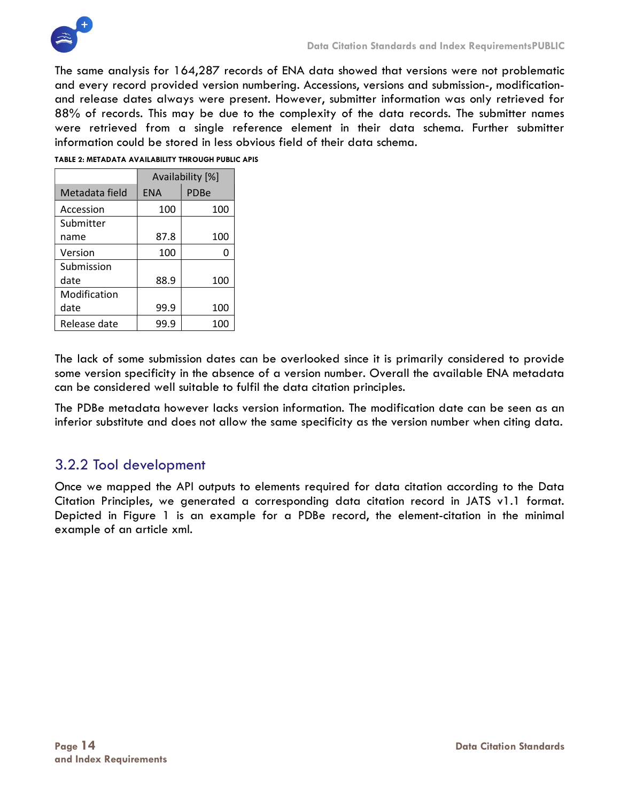

The same analysis for 164,287 records of ENA data showed that versions were not problematic and every record provided version numbering. Accessions, versions and submission-, modificationand release dates always were present. However, submitter information was only retrieved for 88% of records. This may be due to the complexity of the data records. The submitter names were retrieved from a single reference element in their data schema. Further submitter information could be stored in less obvious field of their data schema.

|                | Availability [%] |      |  |
|----------------|------------------|------|--|
| Metadata field | <b>ENA</b>       | PDBe |  |
| Accession      | 100              | 100  |  |
| Submitter      |                  |      |  |
| name           | 87.8             | 100  |  |
| Version        | 100              |      |  |
| Submission     |                  |      |  |
| date           | 88.9             | 100  |  |
| Modification   |                  |      |  |
| date           | 99.9             | 100  |  |
| Release date   | 99.9             | 100  |  |

#### TABLE 2: METADATA AVAILABILITY THROUGH PUBLIC APIS

The lack of some submission dates can be overlooked since it is primarily considered to provide some version specificity in the absence of a version number. Overall the available ENA metadata can be considered well suitable to fulfil the data citation principles.

The PDBe metadata however lacks version information. The modification date can be seen as an inferior substitute and does not allow the same specificity as the version number when citing data.

#### 3.2.2 Tool development

Once we mapped the API outputs to elements required for data citation according to the Data Citation Principles, we generated a corresponding data citation record in JATS v1.1 format. Depicted in Figure 1 is an example for a PDBe record, the element-citation in the minimal example of an article xml.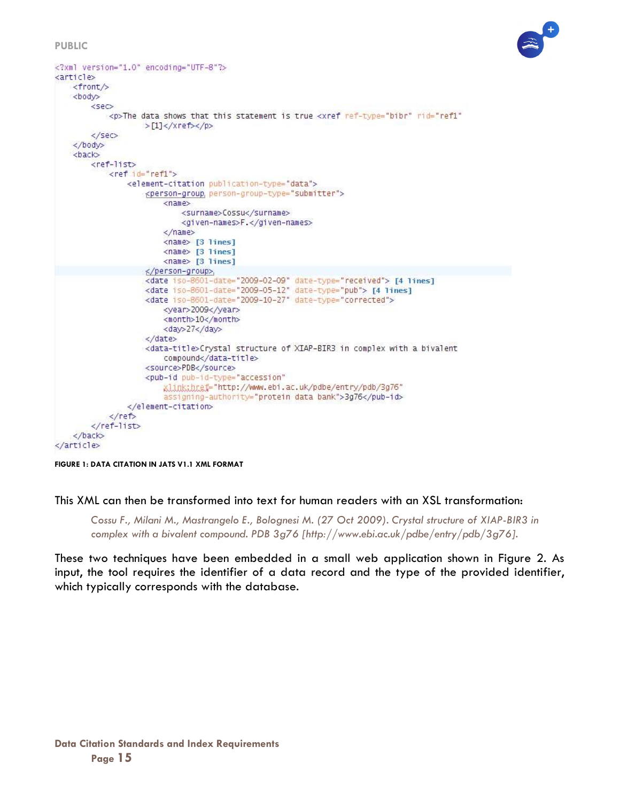#### PUBLIC



```
<?xml version="1.0" encoding="UTF-8"?>
<article>
   <front/>
   <body>
        &sec>
           <p>The data shows that this statement is true <xref ref-type="bibr" rid="ref1"
                   >[1]</xref></p>
        \lt/se\lt</body>
    <back>
        <ref-list>
            <ref id="ref1">
                <element-citation publication-type="data">
                    <person-group, person-group-type="submitter">
                        <name>
                            <surname>Cossu</surname>
                            <given-names>F.</given-names>
                        \langle/name>
                        <name> [3 lines]
                        <name> [3 lines]
                        <name> [3 lines]
                    </person-group>
                    <date iso-8601-date="2009-02-09" date-type="received"> [4 lines]
                    <date iso-8601-date="2009-05-12" date-type="pub"> [4 lines]
                    <date_iso-8601-date="2009-10-27" date-type="corrected">
                        <year>2009</year>
                        <month>10</month>
                        <day>27</day>
                    </date>
                    <data-title>Crystal structure of XIAP-BIR3 in complex with a bivalent
                        compound</data-title>
                    <source>PDB</source>
                    <pub-id pub-id-type="accession"
                        xlink:hnef="http://www.ebi.ac.uk/pdbe/entry/pdb/3g76"
                        assigning-authority="protein data bank">3g76</pub-id>
                </element-citation>
            \le/ref>
        </ref-list>
    </back>
</article>
```
FIGURE 1: DATA CITATION IN JATS V1.1 XML FORMAT

This XML can then be transformed into text for human readers with an XSL transformation:

Cossu F., Milani M., Mastrangelo E., Bolognesi M. (27 Oct 2009). Crystal structure of XIAP-BIR3 in complex with a bivalent compound. PDB 3g76 [http://www.ebi.ac.uk/pdbe/entry/pdb/3g76].

These two techniques have been embedded in a small web application shown in Figure 2. As input, the tool requires the identifier of a data record and the type of the provided identifier, which typically corresponds with the database.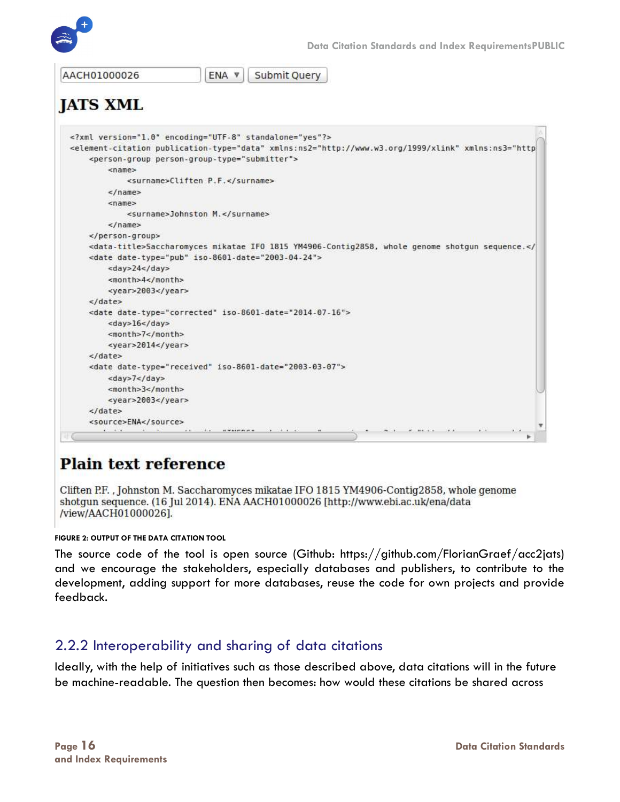

```
AACH01000026
                               ENA V
                                         Submit Query
JATS XML
  <?xml version="1.0" encoding="UTF-8" standalone="yes"?>
  <element-citation publication-type="data" xmlns:ns2="http://www.w3.org/1999/xlink" xmlns:ns3="http
      <person-group person-group-type="submitter">
          <name><surname>Cliften P.F.</surname>
          </name><name>
              <surname>Johnston M.</surname>
          </name>\langle/person-group>
      <data-title>Saccharomyces mikatae IFO 1815 YM4906-Contig2858, whole genome shotgun sequence.</
      <date date-type="pub" iso-8601-date="2003-04-24">
          <day>24</day>
          <month>4</month>
          <year>2003</year>
      </date>
      <date date-type="corrected" iso-8601-date="2014-07-16">
          <day>16</day>
          <month>7</month>
          <year>2014</year>
      </date>
      <date date-type="received" iso-8601-date="2003-03-07">
          <day>7</day>
          <month>3</month>
          <year>2003</year>
      </date>
      <source>ENA</source>
        \cdotsas the available is the a
```
## **Plain text reference**

Cliften P.F., Johnston M. Saccharomyces mikatae IFO 1815 YM4906-Contig2858, whole genome shotgun sequence. (16 Jul 2014). ENA AACH01000026 [http://www.ebi.ac.uk/ena/data /view/AACH01000026].

#### FIGURE 2: OUTPUT OF THE DATA CITATION TOOL

The source code of the tool is open source (Github: https://github.com/FlorianGraef/acc2jats) and we encourage the stakeholders, especially databases and publishers, to contribute to the development, adding support for more databases, reuse the code for own projects and provide feedback.

#### 2.2.2 Interoperability and sharing of data citations

Ideally, with the help of initiatives such as those described above, data citations will in the future be machine-readable. The question then becomes: how would these citations be shared across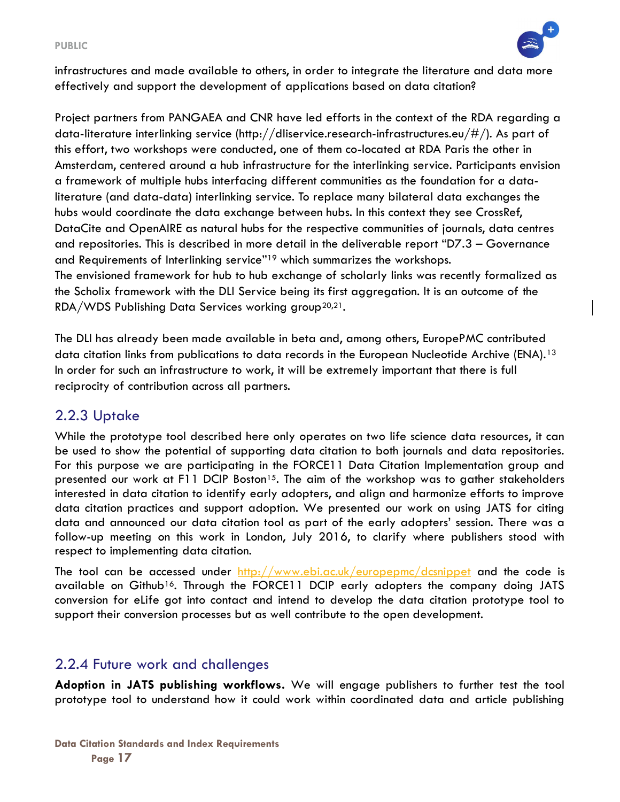#### PUBLIC



infrastructures and made available to others, in order to integrate the literature and data more effectively and support the development of applications based on data citation?

Project partners from PANGAEA and CNR have led efforts in the context of the RDA regarding a data-literature interlinking service (http://dliservice.research-infrastructures.eu/#/). As part of this effort, two workshops were conducted, one of them co-located at RDA Paris the other in Amsterdam, centered around a hub infrastructure for the interlinking service. Participants envision a framework of multiple hubs interfacing different communities as the foundation for a dataliterature (and data-data) interlinking service. To replace many bilateral data exchanges the hubs would coordinate the data exchange between hubs. In this context they see CrossRef, DataCite and OpenAIRE as natural hubs for the respective communities of journals, data centres and repositories. This is described in more detail in the deliverable report "D7.3 – Governance and Requirements of Interlinking service"19 which summarizes the workshops. The envisioned framework for hub to hub exchange of scholarly links was recently formalized as the Scholix framework with the DLI Service being its first aggregation. It is an outcome of the  $RDA/WDS$  Publishing Data Services working group<sup>20,21</sup>.

The DLI has already been made available in beta and, among others, EuropePMC contributed data citation links from publications to data records in the European Nucleotide Archive (ENA).<sup>13</sup> In order for such an infrastructure to work, it will be extremely important that there is full reciprocity of contribution across all partners.

#### 2.2.3 Uptake

While the prototype tool described here only operates on two life science data resources, it can be used to show the potential of supporting data citation to both journals and data repositories. For this purpose we are participating in the FORCE11 Data Citation Implementation group and presented our work at F11 DCIP Boston<sup>15</sup>. The aim of the workshop was to gather stakeholders interested in data citation to identify early adopters, and align and harmonize efforts to improve data citation practices and support adoption. We presented our work on using JATS for citing data and announced our data citation tool as part of the early adopters' session. There was a follow-up meeting on this work in London, July 2016, to clarify where publishers stood with respect to implementing data citation.

The tool can be accessed under http://www.ebi.ac.uk/europepmc/dcsnippet and the code is available on Github<sup>16</sup>. Through the FORCE11 DCIP early adopters the company doing JATS conversion for eLife got into contact and intend to develop the data citation prototype tool to support their conversion processes but as well contribute to the open development.

#### 2.2.4 Future work and challenges

Adoption in JATS publishing workflows. We will engage publishers to further test the tool prototype tool to understand how it could work within coordinated data and article publishing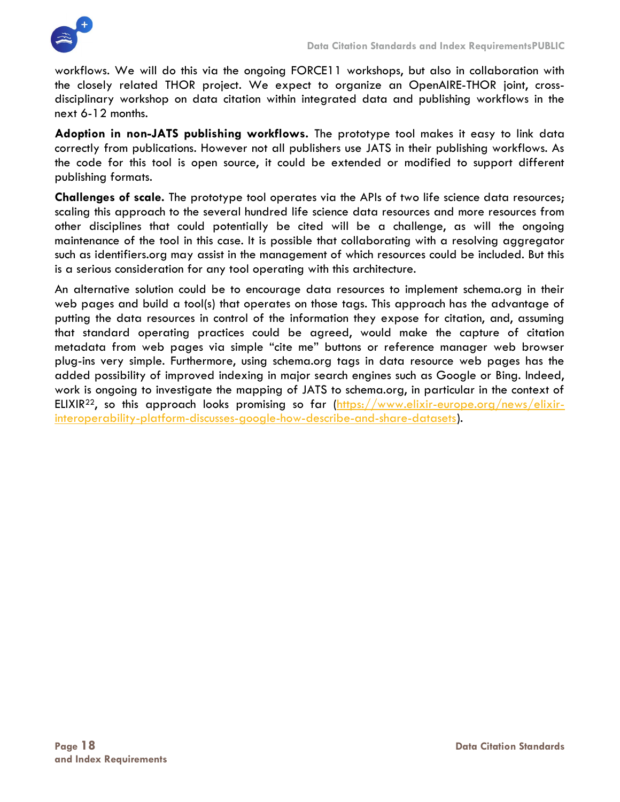

workflows. We will do this via the ongoing FORCE11 workshops, but also in collaboration with the closely related THOR project. We expect to organize an OpenAIRE-THOR joint, crossdisciplinary workshop on data citation within integrated data and publishing workflows in the next 6-12 months.

Adoption in non-JATS publishing workflows. The prototype tool makes it easy to link data correctly from publications. However not all publishers use JATS in their publishing workflows. As the code for this tool is open source, it could be extended or modified to support different publishing formats.

Challenges of scale. The prototype tool operates via the APIs of two life science data resources; scaling this approach to the several hundred life science data resources and more resources from other disciplines that could potentially be cited will be a challenge, as will the ongoing maintenance of the tool in this case. It is possible that collaborating with a resolving aggregator such as identifiers.org may assist in the management of which resources could be included. But this is a serious consideration for any tool operating with this architecture.

An alternative solution could be to encourage data resources to implement schema.org in their web pages and build a tool(s) that operates on those tags. This approach has the advantage of putting the data resources in control of the information they expose for citation, and, assuming that standard operating practices could be agreed, would make the capture of citation metadata from web pages via simple "cite me" buttons or reference manager web browser plug-ins very simple. Furthermore, using schema.org tags in data resource web pages has the added possibility of improved indexing in major search engines such as Google or Bing. Indeed, work is ongoing to investigate the mapping of JATS to schema.org, in particular in the context of ELIXIR22, so this approach looks promising so far (https://www.elixir-europe.org/news/elixirinteroperability-platform-discusses-google-how-describe-and-share-datasets).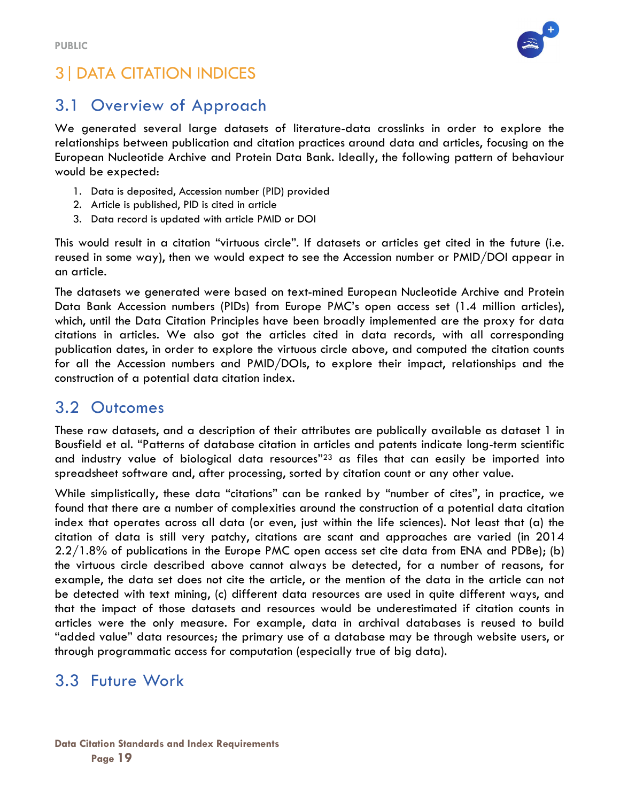

## 3|DATA CITATION INDICES

## 3.1 Overview of Approach

We generated several large datasets of literature-data crosslinks in order to explore the relationships between publication and citation practices around data and articles, focusing on the European Nucleotide Archive and Protein Data Bank. Ideally, the following pattern of behaviour would be expected:

- 1. Data is deposited, Accession number (PID) provided
- 2. Article is published, PID is cited in article
- 3. Data record is updated with article PMID or DOI

This would result in a citation "virtuous circle". If datasets or articles get cited in the future (i.e. reused in some way), then we would expect to see the Accession number or PMID/DOI appear in an article.

The datasets we generated were based on text-mined European Nucleotide Archive and Protein Data Bank Accession numbers (PIDs) from Europe PMC's open access set (1.4 million articles), which, until the Data Citation Principles have been broadly implemented are the proxy for data citations in articles. We also got the articles cited in data records, with all corresponding publication dates, in order to explore the virtuous circle above, and computed the citation counts for all the Accession numbers and PMID/DOIs, to explore their impact, relationships and the construction of a potential data citation index.

#### 3.2 Outcomes

These raw datasets, and a description of their attributes are publically available as dataset 1 in Bousfield et al. "Patterns of database citation in articles and patents indicate long-term scientific and industry value of biological data resources"23 as files that can easily be imported into spreadsheet software and, after processing, sorted by citation count or any other value.

While simplistically, these data "citations" can be ranked by "number of cites", in practice, we found that there are a number of complexities around the construction of a potential data citation index that operates across all data (or even, just within the life sciences). Not least that (a) the citation of data is still very patchy, citations are scant and approaches are varied (in 2014 2.2/1.8% of publications in the Europe PMC open access set cite data from ENA and PDBe); (b) the virtuous circle described above cannot always be detected, for a number of reasons, for example, the data set does not cite the article, or the mention of the data in the article can not be detected with text mining, (c) different data resources are used in quite different ways, and that the impact of those datasets and resources would be underestimated if citation counts in articles were the only measure. For example, data in archival databases is reused to build "added value" data resources; the primary use of a database may be through website users, or through programmatic access for computation (especially true of big data).

#### 3.3 Future Work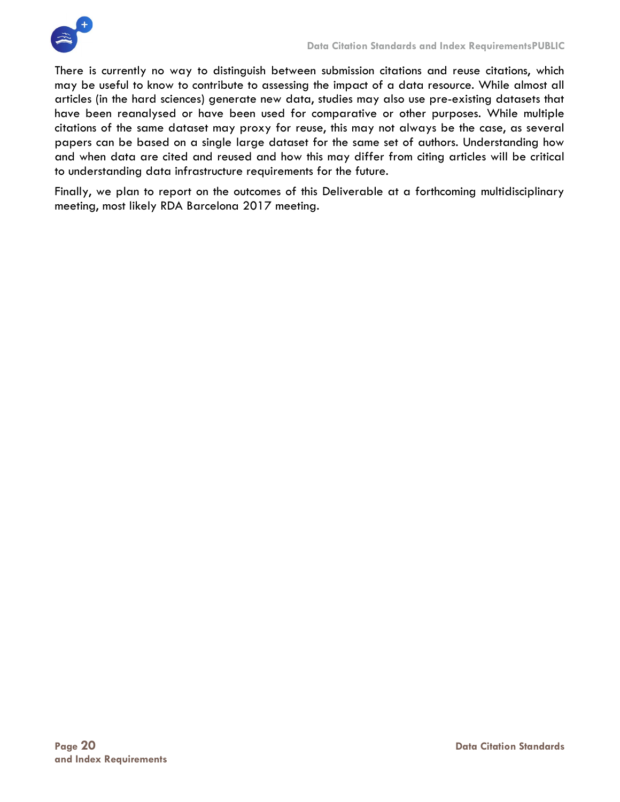

There is currently no way to distinguish between submission citations and reuse citations, which may be useful to know to contribute to assessing the impact of a data resource. While almost all articles (in the hard sciences) generate new data, studies may also use pre-existing datasets that have been reanalysed or have been used for comparative or other purposes. While multiple citations of the same dataset may proxy for reuse, this may not always be the case, as several papers can be based on a single large dataset for the same set of authors. Understanding how and when data are cited and reused and how this may differ from citing articles will be critical to understanding data infrastructure requirements for the future.

Finally, we plan to report on the outcomes of this Deliverable at a forthcoming multidisciplinary meeting, most likely RDA Barcelona 2017 meeting.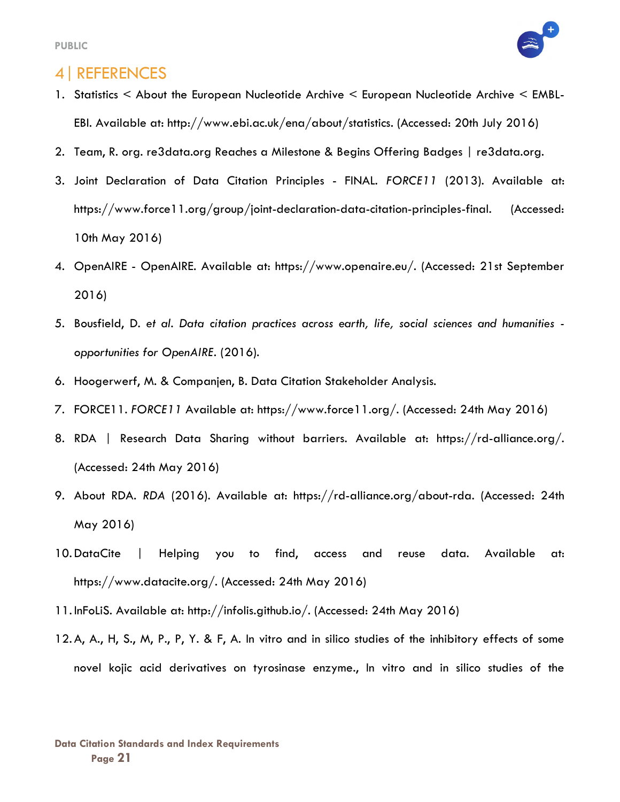

#### 4|REFERENCES

- 1. Statistics < About the European Nucleotide Archive < European Nucleotide Archive < EMBL-EBI. Available at: http://www.ebi.ac.uk/ena/about/statistics. (Accessed: 20th July 2016)
- 2. Team, R. org. re3data.org Reaches a Milestone & Begins Offering Badges | re3data.org.
- 3. Joint Declaration of Data Citation Principles FINAL. FORCE11 (2013). Available at: https://www.force11.org/group/joint-declaration-data-citation-principles-final. (Accessed: 10th May 2016)
- 4. OpenAIRE OpenAIRE. Available at: https://www.openaire.eu/. (Accessed: 21st September 2016)
- 5. Bousfield, D. et al. Data citation practices across earth, life, social sciences and humanities opportunities for OpenAIRE. (2016).
- 6. Hoogerwerf, M. & Companjen, B. Data Citation Stakeholder Analysis.
- 7. FORCE11. FORCE11 Available at: https://www.force11.org/. (Accessed: 24th May 2016)
- 8. RDA | Research Data Sharing without barriers. Available at: https://rd-alliance.org/. (Accessed: 24th May 2016)
- 9. About RDA. RDA (2016). Available at: https://rd-alliance.org/about-rda. (Accessed: 24th May 2016)
- 10. DataCite | Helping you to find, access and reuse data. Available at: https://www.datacite.org/. (Accessed: 24th May 2016)
- 11. InFoLiS. Available at: http://infolis.github.io/. (Accessed: 24th May 2016)
- 12. A, A., H, S., M, P., P, Y. & F, A. In vitro and in silico studies of the inhibitory effects of some novel kojic acid derivatives on tyrosinase enzyme., In vitro and in silico studies of the